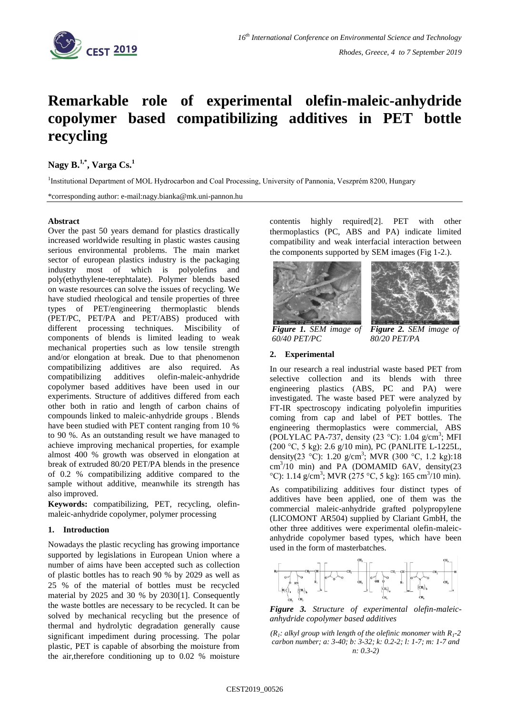

# **Remarkable role of experimental olefin-maleic-anhydride copolymer based compatibilizing additives in PET bottle recycling**

# **Nagy B. 1,\*, Varga Cs.<sup>1</sup>**

<sup>1</sup>Institutional Department of MOL Hydrocarbon and Coal Processing, University of Pannonia, Veszprém 8200, Hungary

\*corresponding author: e-mail:nagy.bianka@mk.uni-pannon.hu

## **Abstract**

Over the past 50 years demand for plastics drastically increased worldwide resulting in plastic wastes causing serious environmental problems. The main market sector of european plastics industry is the packaging industry most of which is polyolefins and poly(ethythylene-terephtalate). Polymer blends based on waste resources can solve the issues of recycling. We have studied rheological and tensile properties of three types of PET/engineering thermoplastic blends (PET/PC, PET/PA and PET/ABS) produced with different processing techniques. Miscibility of components of blends is limited leading to weak mechanical properties such as low tensile strength and/or elongation at break. Due to that phenomenon compatibilizing additives are also required. As compatibilizing additives olefin-maleic-anhydride copolymer based additives have been used in our experiments. Structure of additives differed from each other both in ratio and length of carbon chains of compounds linked to maleic-anhydride groups . Blends have been studied with PET content ranging from 10 % to 90 %. As an outstanding result we have managed to achieve improving mechanical properties, for example almost 400 % growth was observed in elongation at break of extruded 80/20 PET/PA blends in the presence of 0.2 % compatibilizing additive compared to the sample without additive, meanwhile its strength has also improved.

**Keywords:** compatibilizing, PET, recycling, olefinmaleic-anhydride copolymer, polymer processing

# **1. Introduction**

Nowadays the plastic recycling has growing importance supported by legislations in European Union where a number of aims have been accepted such as collection of plastic bottles has to reach 90 % by 2029 as well as 25 % of the material of bottles must be recycled material by 2025 and 30 % by 203[0\[1\].](#page-1-0) Consequently the waste bottles are necessary to be recycled. It can be solved by mechanical recycling but the presence of thermal and hydrolytic degradation generally cause significant impediment during processing. The polar plastic, PET is capable of absorbing the moisture from the air,therefore conditioning up to 0.02 % moisture

contentis highly require[d\[2\].](#page-1-1) PET with other thermoplastics (PC, ABS and PA) indicate limited compatibility and weak interfacial interaction between the components supported by SEM images (Fig 1-2.).





*Figure 1. SEM image of 60/40 PET/PC*

*Figure 2. SEM image of 80/20 PET/PA*

### **2. Experimental**

In our research a real industrial waste based PET from selective collection and its blends with three engineering plastics (ABS, PC and PA) were investigated. The waste based PET were analyzed by FT-IR spectroscopy indicating polyolefin impurities coming from cap and label of PET bottles. The engineering thermoplastics were commercial, ABS (POLYLAC PA-737, density  $(23 °C)$ : 1.04 g/cm<sup>3</sup>; MFI (200 °C, 5 kg): 2.6 g/10 min), PC (PANLITE L-1225L, density(23 °C): 1.20 g/cm<sup>3</sup>; MVR (300 °C, 1.2 kg):18 cm<sup>3</sup>/10 min) and PA (DOMAMID 6AV, density(23 °C): 1.14 g/cm<sup>3</sup>; MVR (275 °C, 5 kg): 165 cm<sup>3</sup>/10 min).

As compatibilizing additives four distinct types of additives have been applied, one of them was the commercial maleic-anhydride grafted polypropylene (LICOMONT AR504) supplied by Clariant GmbH, the other three additives were experimental olefin-maleicanhydride copolymer based types, which have been used in the form of masterbatches.



*Figure 3. Structure of experimental olefin-maleicanhydride copolymer based additives*

*(R<sub>1</sub>*: alkyl group with length of the olefinic monomer with  $R_1$ -2 *carbon number; a: 3-40; b: 3-32; k: 0.2-2; l: 1-7; m: 1-7 and n: 0.3-2)*